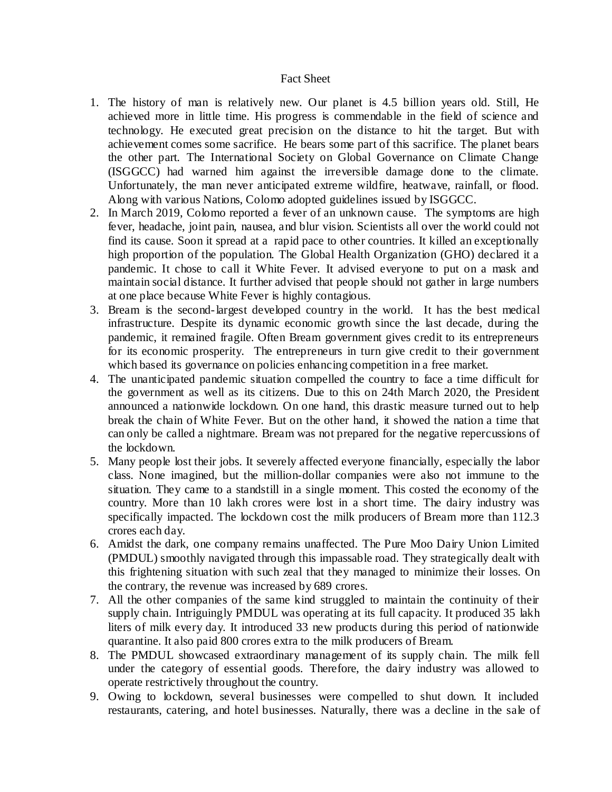## Fact Sheet

- 1. The history of man is relatively new. Our planet is 4.5 billion years old. Still, He achieved more in little time. His progress is commendable in the field of science and technology. He executed great precision on the distance to hit the target. But with achievement comes some sacrifice. He bears some part of this sacrifice. The planet bears the other part. The International Society on Global Governance on Climate Change (ISGGCC) had warned him against the irreversible damage done to the climate. Unfortunately, the man never anticipated extreme wildfire, heatwave, rainfall, or flood. Along with various Nations, Colomo adopted guidelines issued by ISGGCC.
- 2. In March 2019, Colomo reported a fever of an unknown cause. The symptoms are high fever, headache, joint pain, nausea, and blur vision. Scientists all over the world could not find its cause. Soon it spread at a rapid pace to other countries. It killed an exceptionally high proportion of the population. The Global Health Organization (GHO) declared it a pandemic. It chose to call it White Fever. It advised everyone to put on a mask and maintain social distance. It further advised that people should not gather in large numbers at one place because White Fever is highly contagious.
- 3. Bream is the second-largest developed country in the world. It has the best medical infrastructure. Despite its dynamic economic growth since the last decade, during the pandemic, it remained fragile. Often Bream government gives credit to its entrepreneurs for its economic prosperity. The entrepreneurs in turn give credit to their government which based its governance on policies enhancing competition in a free market.
- 4. The unanticipated pandemic situation compelled the country to face a time difficult for the government as well as its citizens. Due to this on 24th March 2020, the President announced a nationwide lockdown. On one hand, this drastic measure turned out to help break the chain of White Fever. But on the other hand, it showed the nation a time that can only be called a nightmare. Bream was not prepared for the negative repercussions of the lockdown.
- 5. Many people lost their jobs. It severely affected everyone financially, especially the labor class. None imagined, but the million-dollar companies were also not immune to the situation. They came to a standstill in a single moment. This costed the economy of the country. More than 10 lakh crores were lost in a short time. The dairy industry was specifically impacted. The lockdown cost the milk producers of Bream more than 112.3 crores each day.
- 6. Amidst the dark, one company remains unaffected. The Pure Moo Dairy Union Limited (PMDUL) smoothly navigated through this impassable road. They strategically dealt with this frightening situation with such zeal that they managed to minimize their losses. On the contrary, the revenue was increased by 689 crores.
- 7. All the other companies of the same kind struggled to maintain the continuity of their supply chain. Intriguingly PMDUL was operating at its full capacity. It produced 35 lakh liters of milk every day. It introduced 33 new products during this period of nationwide quarantine. It also paid 800 crores extra to the milk producers of Bream.
- 8. The PMDUL showcased extraordinary management of its supply chain. The milk fell under the category of essential goods. Therefore, the dairy industry was allowed to operate restrictively throughout the country.
- 9. Owing to lockdown, several businesses were compelled to shut down. It included restaurants, catering, and hotel businesses. Naturally, there was a decline in the sale of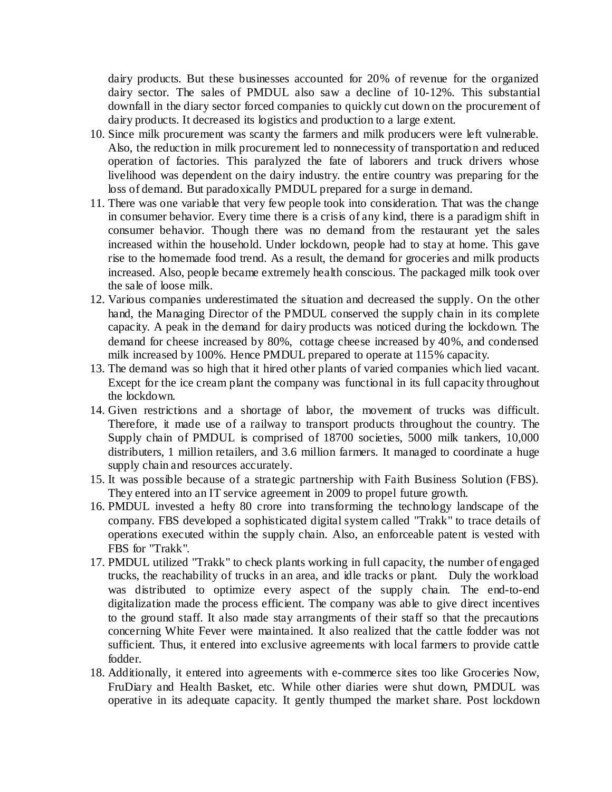dairy products. But these businesses accounted for 20% of revenue for the organized dairy sector. The sales of PMDUL also saw a decline of 10-12%. This substantial downfall in the diary sector forced companies to quickly cut down on the procurement of dairy products. It decreased its logistics and production to a large extent.

- 10. Since milk procurement was scanty the farmers and milk producers were left vulnerable. Also, the reduction in milk procurement led to nonnecessity of transportation and reduced operation of factories. This paralyzed the fate of laborers and truck drivers whose livelihood was dependent on the dairy industry. the entire country was preparing for the loss of demand. But paradoxically PMDUL prepared for a surge in demand.
- 11. There was one variable that very few people took into consideration. That was the change in consumer behavior. Every time there is a crisis of any kind, there is a paradigm shift in consumer behavior. Though there was no demand from the restaurant yet the sales increased within the household. Under lockdown, people had to stay at home. This gave rise to the homemade food trend. As a result, the demand for groceries and milk products increased. Also, people became extremely health conscious. The packaged milk took over the sale of loose milk.
- 12. Various companies underestimated the situation and decreased the supply. On the other hand, the Managing Director of the PMDUL conserved the supply chain in its complete capacity. A peak in the demand for dairy products was noticed during the lockdown. The demand for cheese increased by 80%, cottage cheese increased by 40%, and condensed milk increased by 100%. Hence PMDUL prepared to operate at 115% capacity.
- 13. The demand was so high that it hired other plants of varied companies which lied vacant. Except for the ice cream plant the company was functional in its full capacity throughout the lockdown.
- 14. Given restrictions and a shortage of labor, the movement of trucks was difficult. Therefore, it made use of a railway to transport products throughout the country. The Supply chain of PMDUL is comprised of 18700 societies, 5000 milk tankers, 10,000 distributers, 1 million retailers, and 3.6 million farmers. It managed to coordinate a huge supply chain and resources accurately.
- 15. It was possible because of a strategic partnership with Faith Business Solution (FBS). They entered into an IT service agreement in 2009 to propel future growth.
- 16. PMDUL invested a hefty 80 crore into transforming the technology landscape of the company. FBS developed a sophisticated digital system called "Trakk" to trace details of operations executed within the supply chain. Also, an enforceable patent is vested with FBS for "Trakk".
- 17. PMDUL utilized "Trakk" to check plants working in full capacity, the number of engaged trucks, the reachability of trucks in an area, and idle tracks or plant. Duly the workload was distributed to optimize every aspect of the supply chain. The end-to-end digitalization made the process efficient. The company was able to give direct incentives to the ground staff. It also made stay arrangments of their staff so that the precautions concerning White Fever were maintained. It also realized that the cattle fodder was not sufficient. Thus, it entered into exclusive agreements with local farmers to provide cattle fodder.
- 18. Additionally, it entered into agreements with e-commerce sites too like Groceries Now, FruDiary and Health Basket, etc. While other diaries were shut down, PMDUL was operative in its adequate capacity. It gently thumped the market share. Post lockdown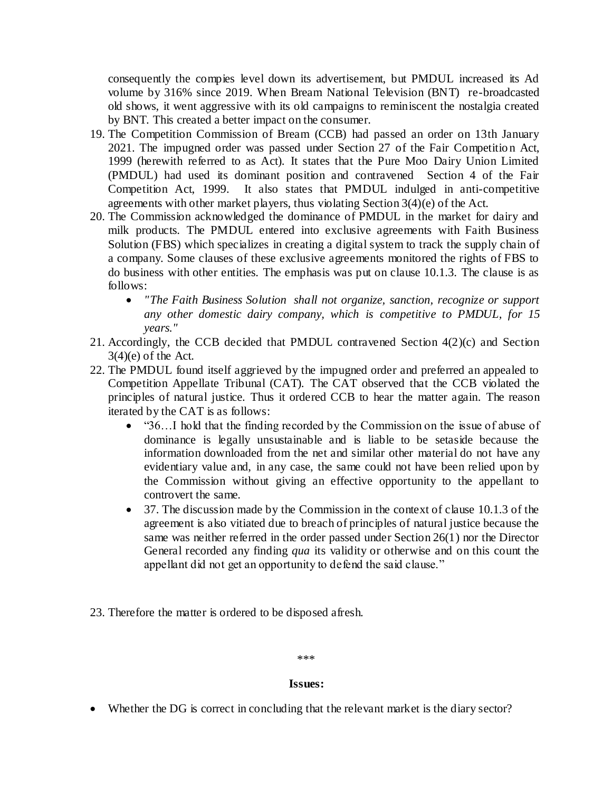consequently the compies level down its advertisement, but PMDUL increased its Ad volume by 316% since 2019. When Bream National Television (BNT) re-broadcasted old shows, it went aggressive with its old campaigns to reminiscent the nostalgia created by BNT. This created a better impact on the consumer.

- 19. The Competition Commission of Bream (CCB) had passed an order on 13th January 2021. The impugned order was passed under Section 27 of the Fair Competitio n Act, 1999 (herewith referred to as Act). It states that the Pure Moo Dairy Union Limited (PMDUL) had used its dominant position and contravened Section 4 of the Fair Competition Act, 1999. It also states that PMDUL indulged in anti-competitive agreements with other market players, thus violating Section 3(4)(e) of the Act.
- 20. The Commission acknowledged the dominance of PMDUL in the market for dairy and milk products. The PMDUL entered into exclusive agreements with Faith Business Solution (FBS) which specializes in creating a digital system to track the supply chain of a company. Some clauses of these exclusive agreements monitored the rights of FBS to do business with other entities. The emphasis was put on clause 10.1.3. The clause is as follows:
	- *"The Faith Business Solution shall not organize, sanction, recognize or support any other domestic dairy company, which is competitive to PMDUL, for 15 years."*
- 21. Accordingly, the CCB decided that PMDUL contravened Section 4(2)(c) and Section  $3(4)(e)$  of the Act.
- 22. The PMDUL found itself aggrieved by the impugned order and preferred an appealed to Competition Appellate Tribunal (CAT). The CAT observed that the CCB violated the principles of natural justice. Thus it ordered CCB to hear the matter again. The reason iterated by the CAT is as follows:
	- "36…I hold that the finding recorded by the Commission on the issue of abuse of dominance is legally unsustainable and is liable to be setaside because the information downloaded from the net and similar other material do not have any evidentiary value and, in any case, the same could not have been relied upon by the Commission without giving an effective opportunity to the appellant to controvert the same.
	- 37. The discussion made by the Commission in the context of clause 10.1.3 of the agreement is also vitiated due to breach of principles of natural justice because the same was neither referred in the order passed under Section 26(1) nor the Director General recorded any finding *qua* its validity or otherwise and on this count the appellant did not get an opportunity to defend the said clause."
- 23. Therefore the matter is ordered to be disposed afresh.

## \*\*\*

## **Issues:**

Whether the DG is correct in concluding that the relevant market is the diary sector?